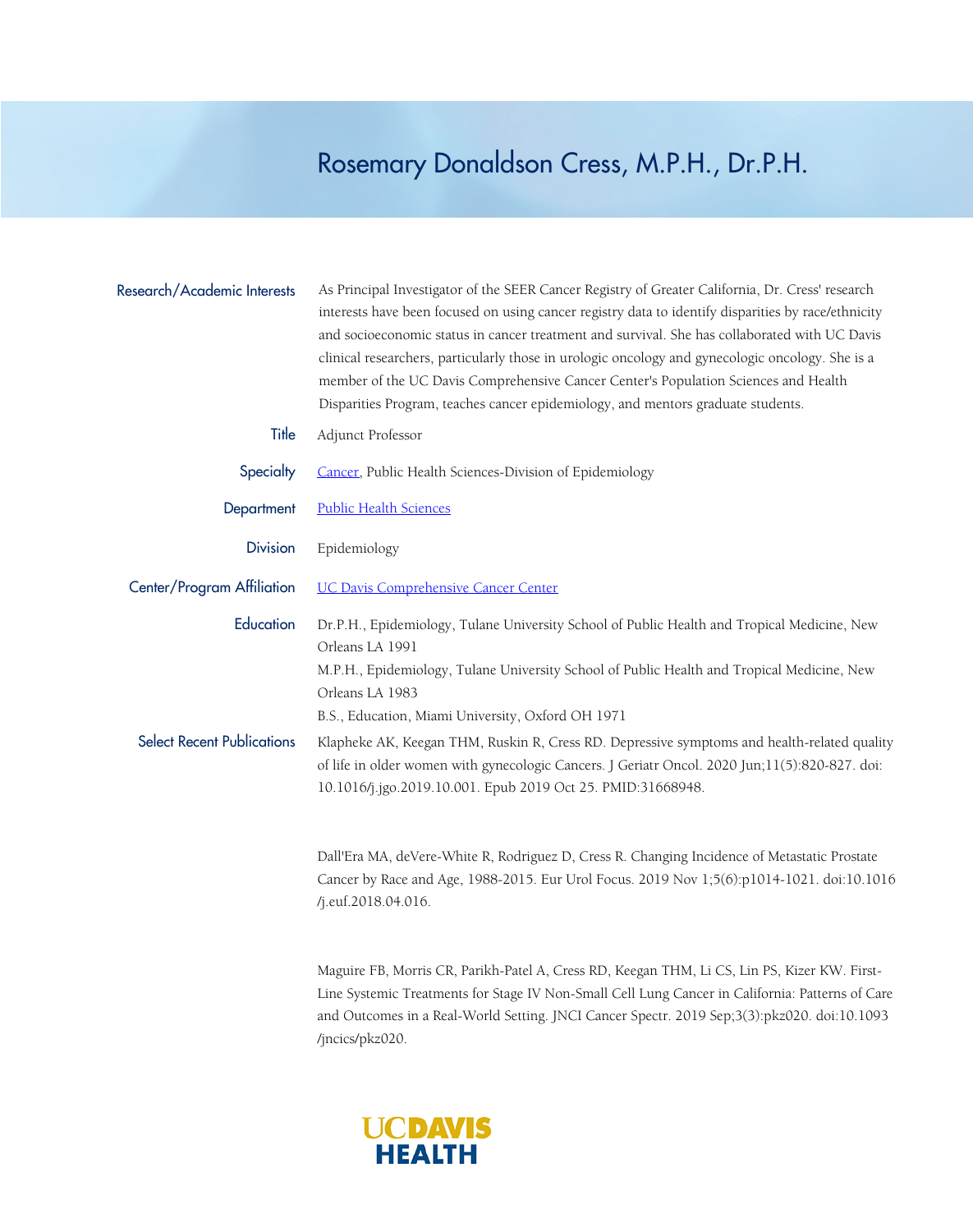## Rosemary Donaldson Cress, M.P.H., Dr.P.H.

| Research/Academic Interests       | As Principal Investigator of the SEER Cancer Registry of Greater California, Dr. Cress' research<br>interests have been focused on using cancer registry data to identify disparities by race/ethnicity<br>and socioeconomic status in cancer treatment and survival. She has collaborated with UC Davis<br>clinical researchers, particularly those in urologic oncology and gynecologic oncology. She is a<br>member of the UC Davis Comprehensive Cancer Center's Population Sciences and Health |
|-----------------------------------|-----------------------------------------------------------------------------------------------------------------------------------------------------------------------------------------------------------------------------------------------------------------------------------------------------------------------------------------------------------------------------------------------------------------------------------------------------------------------------------------------------|
|                                   | Disparities Program, teaches cancer epidemiology, and mentors graduate students.                                                                                                                                                                                                                                                                                                                                                                                                                    |
| Title                             | Adjunct Professor                                                                                                                                                                                                                                                                                                                                                                                                                                                                                   |
| Specialty                         | Cancer, Public Health Sciences-Division of Epidemiology                                                                                                                                                                                                                                                                                                                                                                                                                                             |
| Department                        | <b>Public Health Sciences</b>                                                                                                                                                                                                                                                                                                                                                                                                                                                                       |
| <b>Division</b>                   | Epidemiology                                                                                                                                                                                                                                                                                                                                                                                                                                                                                        |
| Center/Program Affiliation        | <b>UC Davis Comprehensive Cancer Center</b>                                                                                                                                                                                                                                                                                                                                                                                                                                                         |
| Education                         | Dr.P.H., Epidemiology, Tulane University School of Public Health and Tropical Medicine, New<br>Orleans LA 1991<br>M.P.H., Epidemiology, Tulane University School of Public Health and Tropical Medicine, New<br>Orleans LA 1983<br>B.S., Education, Miami University, Oxford OH 1971                                                                                                                                                                                                                |
| <b>Select Recent Publications</b> | Klapheke AK, Keegan THM, Ruskin R, Cress RD. Depressive symptoms and health-related quality<br>of life in older women with gynecologic Cancers. J Geriatr Oncol. 2020 Jun;11(5):820-827. doi:<br>10.1016/j.jgo.2019.10.001. Epub 2019 Oct 25. PMID:31668948.                                                                                                                                                                                                                                        |
|                                   | Dall'Era MA, deVere-White R, Rodriguez D, Cress R. Changing Incidence of Metastatic Prostate<br>Cancer by Race and Age, 1988-2015. Eur Urol Focus. 2019 Nov 1;5(6):p1014-1021. doi:10.1016<br>/j.euf.2018.04.016.                                                                                                                                                                                                                                                                                   |
|                                   | Maguire ER, Morris CD, Parilsh Patel A, Cress PD, Keegan THM Li CS, Lin PS, Kizer KW, First                                                                                                                                                                                                                                                                                                                                                                                                         |

Maguire FB, Morris CR, Parikh-Patel A, Cress RD, Keegan THM, Li CS, Lin PS, Kizer KW. First-Line Systemic Treatments for Stage IV Non-Small Cell Lung Cancer in California: Patterns of Care and Outcomes in a Real-World Setting. JNCI Cancer Spectr. 2019 Sep;3(3):pkz020. doi:10.1093 /jncics/pkz020.

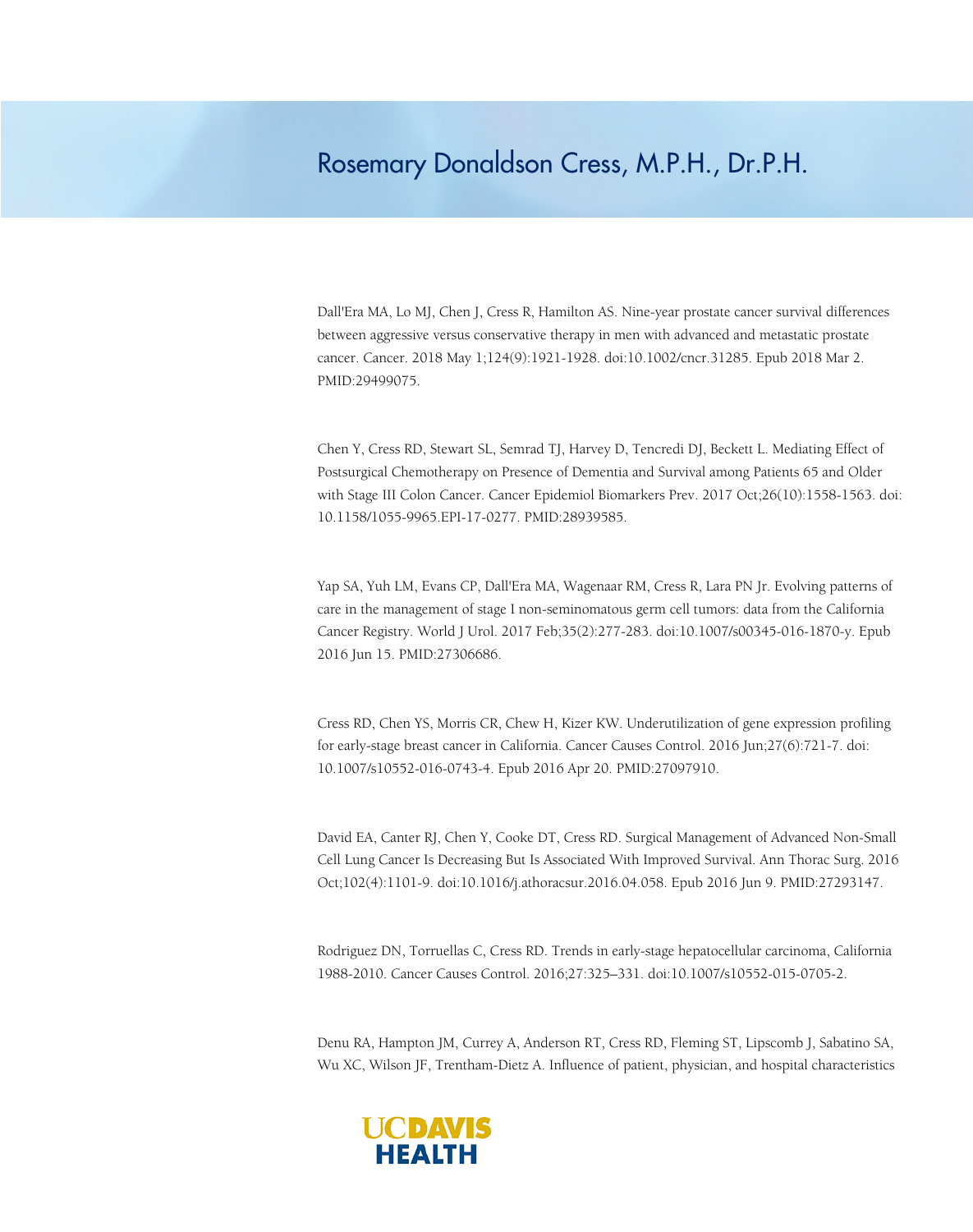## Rosemary Donaldson Cress, M.P.H., Dr.P.H.

Dall'Era MA, Lo MJ, Chen J, Cress R, Hamilton AS. Nine-year prostate cancer survival differences between aggressive versus conservative therapy in men with advanced and metastatic prostate cancer. Cancer. 2018 May 1;124(9):1921-1928. doi:10.1002/cncr.31285. Epub 2018 Mar 2. PMID:29499075.

Chen Y, Cress RD, Stewart SL, Semrad TJ, Harvey D, Tencredi DJ, Beckett L. Mediating Effect of Postsurgical Chemotherapy on Presence of Dementia and Survival among Patients 65 and Older with Stage III Colon Cancer. Cancer Epidemiol Biomarkers Prev. 2017 Oct;26(10):1558-1563. doi: 10.1158/1055-9965.EPI-17-0277. PMID:28939585.

Yap SA, Yuh LM, Evans CP, Dall'Era MA, Wagenaar RM, Cress R, Lara PN Jr. Evolving patterns of care in the management of stage I non-seminomatous germ cell tumors: data from the California Cancer Registry. World J Urol. 2017 Feb;35(2):277-283. doi:10.1007/s00345-016-1870-y. Epub 2016 Jun 15. PMID:27306686.

Cress RD, Chen YS, Morris CR, Chew H, Kizer KW. Underutilization of gene expression profiling for early-stage breast cancer in California. Cancer Causes Control. 2016 Jun;27(6):721-7. doi: 10.1007/s10552-016-0743-4. Epub 2016 Apr 20. PMID:27097910.

David EA, Canter RJ, Chen Y, Cooke DT, Cress RD. Surgical Management of Advanced Non-Small Cell Lung Cancer Is Decreasing But Is Associated With Improved Survival. Ann Thorac Surg. 2016 Oct;102(4):1101-9. doi:10.1016/j.athoracsur.2016.04.058. Epub 2016 Jun 9. PMID:27293147.

Rodriguez DN, Torruellas C, Cress RD. Trends in early-stage hepatocellular carcinoma, California 1988-2010. Cancer Causes Control. 2016;27:325–331. doi:10.1007/s10552-015-0705-2.

Denu RA, Hampton JM, Currey A, Anderson RT, Cress RD, Fleming ST, Lipscomb J, Sabatino SA, Wu XC, Wilson JF, Trentham-Dietz A. Influence of patient, physician, and hospital characteristics